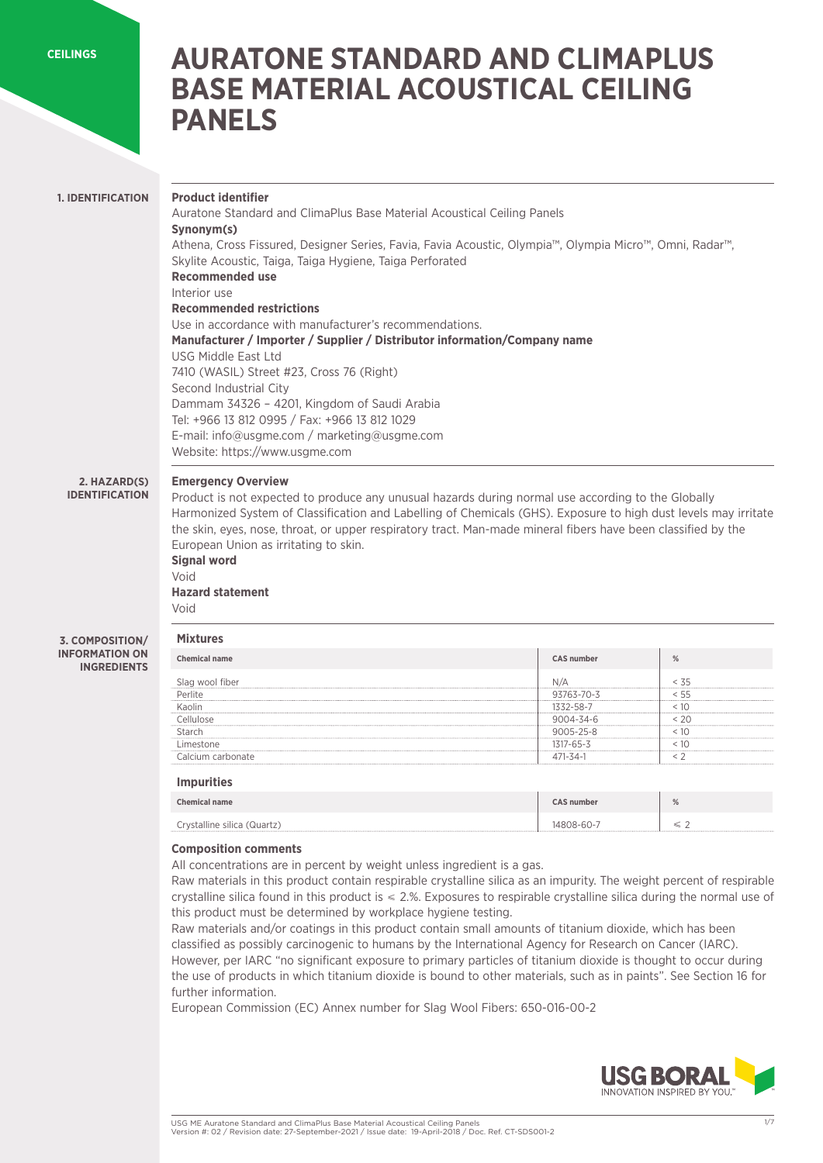**[CEILINGS](https://www.usgme.com/en/categories/ceilings)**

# **AURATONE STANDARD AND CLIMAPLUS BASE MATERIAL ACOUSTICAL CEILING PANELS**

### **1. IDENTIFICATION**

### **Product identifier**

Auratone Standard and ClimaPlus Base Material Acoustical Ceiling Panels **Synonym(s)** Athena, Cross Fissured, Designer Series, Favia, Favia Acoustic, Olympia™, Olympia Micro™, Omni, Radar™, Skylite Acoustic, Taiga, Taiga Hygiene, Taiga Perforated **Recommended use**  Interior use **Recommended restrictions** Use in accordance with manufacturer's recommendations. **Manufacturer / Importer / Supplier / Distributor information/Company name**  USG Middle East Ltd 7410 (WASIL) Street #23, Cross 76 (Right) Second Industrial City Dammam 34326 – 4201, Kingdom of Saudi Arabia Tel: +966 13 812 0995 / Fax: +966 13 812 1029 E-mail: info@usgme.com / marketing@usgme.com Website: https://www.usgme.com

#### **Emergency Overview 2. HAZARD(S)**

**IDENTIFICATION**

Product is not expected to produce any unusual hazards during normal use according to the Globally Harmonized System of Classification and Labelling of Chemicals (GHS). Exposure to high dust levels may irritate the skin, eyes, nose, throat, or upper respiratory tract. Man-made mineral fibers have been classified by the European Union as irritating to skin.

### **Signal word**  Void

**Hazard statement**  Void

#### **3. COMPOSITION/ INFORMATION ON INGREDIENTS**

| Chemical name | $CAS$ number | $\frac{0}{2}$ |
|---------------|--------------|---------------|
|               |              |               |
|               | 763-70-3     |               |
|               |              |               |
|               | )4-34-6      |               |
|               |              |               |
|               |              |               |
| ∩nate         |              |               |

### **Impurities**

| <b>Chemical name</b>        | <b>CAS number</b> | % |
|-----------------------------|-------------------|---|
| Crystalline silica (Quartz) | 14808-60-7        |   |

### **Composition comments**

All concentrations are in percent by weight unless ingredient is a gas.

Raw materials in this product contain respirable crystalline silica as an impurity. The weight percent of respirable crystalline silica found in this product is ≤ 2.%. Exposures to respirable crystalline silica during the normal use of this product must be determined by workplace hygiene testing.

Raw materials and/or coatings in this product contain small amounts of titanium dioxide, which has been classified as possibly carcinogenic to humans by the International Agency for Research on Cancer (IARC). However, per IARC "no significant exposure to primary particles of titanium dioxide is thought to occur during the use of products in which titanium dioxide is bound to other materials, such as in paints". See Section 16 for further information.

European Commission (EC) Annex number for Slag Wool Fibers: 650-016-00-2

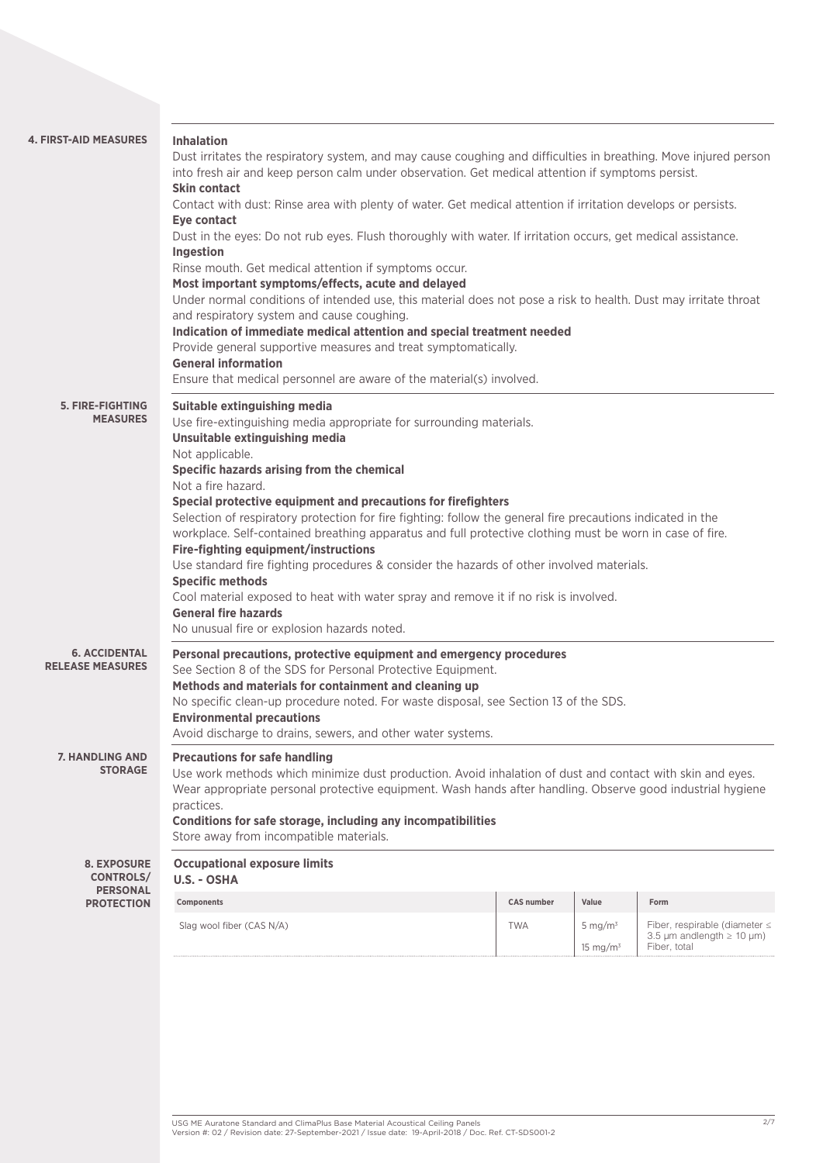| <b>4. FIRST-AID MEASURES</b>                    | <b>Inhalation</b><br>Dust irritates the respiratory system, and may cause coughing and difficulties in breathing. Move injured person<br>into fresh air and keep person calm under observation. Get medical attention if symptoms persist.<br><b>Skin contact</b><br>Contact with dust: Rinse area with plenty of water. Get medical attention if irritation develops or persists.<br><b>Eye contact</b><br>Dust in the eyes: Do not rub eyes. Flush thoroughly with water. If irritation occurs, get medical assistance.<br>Ingestion<br>Rinse mouth. Get medical attention if symptoms occur.<br>Most important symptoms/effects, acute and delayed<br>Under normal conditions of intended use, this material does not pose a risk to health. Dust may irritate throat<br>and respiratory system and cause coughing.<br>Indication of immediate medical attention and special treatment needed<br>Provide general supportive measures and treat symptomatically.<br><b>General information</b><br>Ensure that medical personnel are aware of the material(s) involved. |                   |                           |                                                                                                |  |
|-------------------------------------------------|--------------------------------------------------------------------------------------------------------------------------------------------------------------------------------------------------------------------------------------------------------------------------------------------------------------------------------------------------------------------------------------------------------------------------------------------------------------------------------------------------------------------------------------------------------------------------------------------------------------------------------------------------------------------------------------------------------------------------------------------------------------------------------------------------------------------------------------------------------------------------------------------------------------------------------------------------------------------------------------------------------------------------------------------------------------------------|-------------------|---------------------------|------------------------------------------------------------------------------------------------|--|
| 5. FIRE-FIGHTING<br><b>MEASURES</b>             | Suitable extinguishing media<br>Use fire-extinguishing media appropriate for surrounding materials.<br>Unsuitable extinguishing media<br>Not applicable.<br>Specific hazards arising from the chemical<br>Not a fire hazard.<br>Special protective equipment and precautions for firefighters<br>Selection of respiratory protection for fire fighting: follow the general fire precautions indicated in the<br>workplace. Self-contained breathing apparatus and full protective clothing must be worn in case of fire.<br><b>Fire-fighting equipment/instructions</b><br>Use standard fire fighting procedures & consider the hazards of other involved materials.<br><b>Specific methods</b><br>Cool material exposed to heat with water spray and remove it if no risk is involved.<br><b>General fire hazards</b><br>No unusual fire or explosion hazards noted.                                                                                                                                                                                                    |                   |                           |                                                                                                |  |
| <b>6. ACCIDENTAL</b><br><b>RELEASE MEASURES</b> | Personal precautions, protective equipment and emergency procedures<br>See Section 8 of the SDS for Personal Protective Equipment.<br>Methods and materials for containment and cleaning up<br>No specific clean-up procedure noted. For waste disposal, see Section 13 of the SDS.<br><b>Environmental precautions</b><br>Avoid discharge to drains, sewers, and other water systems.                                                                                                                                                                                                                                                                                                                                                                                                                                                                                                                                                                                                                                                                                   |                   |                           |                                                                                                |  |
| <b>7. HANDLING AND</b><br><b>STORAGE</b>        | <b>Precautions for safe handling</b><br>Use work methods which minimize dust production. Avoid inhalation of dust and contact with skin and eyes.<br>Wear appropriate personal protective equipment. Wash hands after handling. Observe good industrial hygiene<br>practices.<br>Conditions for safe storage, including any incompatibilities<br>Store away from incompatible materials.                                                                                                                                                                                                                                                                                                                                                                                                                                                                                                                                                                                                                                                                                 |                   |                           |                                                                                                |  |
| <b>8. EXPOSURE</b><br><b>CONTROLS/</b>          | <b>Occupational exposure limits</b><br>U.S. - OSHA                                                                                                                                                                                                                                                                                                                                                                                                                                                                                                                                                                                                                                                                                                                                                                                                                                                                                                                                                                                                                       |                   |                           |                                                                                                |  |
| <b>PERSONAL</b><br><b>PROTECTION</b>            | Components                                                                                                                                                                                                                                                                                                                                                                                                                                                                                                                                                                                                                                                                                                                                                                                                                                                                                                                                                                                                                                                               | <b>CAS number</b> | Value                     | Form                                                                                           |  |
|                                                 | Slag wool fiber (CAS N/A)                                                                                                                                                                                                                                                                                                                                                                                                                                                                                                                                                                                                                                                                                                                                                                                                                                                                                                                                                                                                                                                | <b>TWA</b>        | 5 mg/ $m3$<br>15 mg/m $3$ | Fiber, respirable (diameter $\leq$<br>3.5 $\mu$ m andlength $\geq$ 10 $\mu$ m)<br>Fiber, total |  |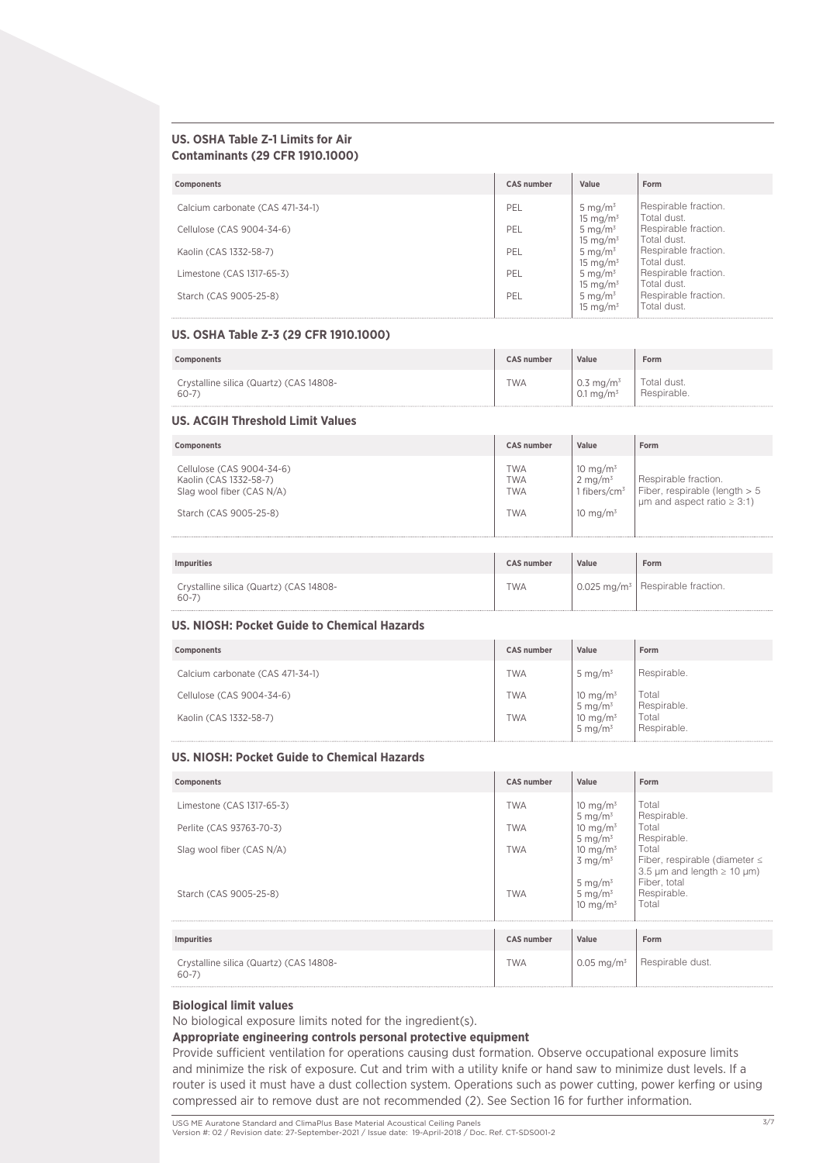### **US. OSHA Table Z-1 Limits for Air Contaminants (29 CFR 1910.1000)**

| <b>Components</b>                | <b>CAS number</b> | Value                              | Form                                |
|----------------------------------|-------------------|------------------------------------|-------------------------------------|
| Calcium carbonate (CAS 471-34-1) | PEL               | 5 mg/m <sup>3</sup><br>15 mg/m $3$ | Respirable fraction.<br>Total dust. |
| Cellulose (CAS 9004-34-6)        | PEL               | 5 mg/ $m3$<br>15 mg/m $3$          | Respirable fraction.<br>Total dust. |
| Kaolin (CAS 1332-58-7)           | PEL               | 5 mg/ $m^3$<br>15 mg/ $m3$         | Respirable fraction.<br>Total dust. |
| Limestone (CAS 1317-65-3)        | PEL               | 5 mg/ $m3$<br>15 mg/ $m3$          | Respirable fraction.<br>Total dust. |
| Starch (CAS 9005-25-8)           | PEL               | 5 mg/ $m3$<br>15 mg/m $3$          | Respirable fraction.<br>Total dust. |

#### **US. OSHA Table Z-3 (29 CFR 1910.1000)**

| Components                              | <b>CAS number</b> | Value                 | Form        |
|-----------------------------------------|-------------------|-----------------------|-------------|
| Crystalline silica (Quartz) (CAS 14808- | <b>TWA</b>        | 0.3 mg/m <sup>3</sup> | Total dust. |
| 60-7                                    |                   | 0.1 mg/m <sup>3</sup> | Respirable. |

### **US. ACGIH Threshold Limit Values**

| Components                                                                                                 | <b>CAS number</b>                                    | Value                                                                        | Form                                                                                          |
|------------------------------------------------------------------------------------------------------------|------------------------------------------------------|------------------------------------------------------------------------------|-----------------------------------------------------------------------------------------------|
| Cellulose (CAS 9004-34-6)<br>Kaolin (CAS 1332-58-7)<br>Slag wool fiber (CAS N/A)<br>Starch (CAS 9005-25-8) | <b>TWA</b><br><b>TWA</b><br><b>TWA</b><br><b>TWA</b> | 10 mg/m $3$<br>$2 \text{ mg/m}^3$<br>1 fibers/cm <sup>3</sup><br>10 mg/m $3$ | Respirable fraction.<br>Fiber, respirable (length > 5<br>$\mu$ m and aspect ratio $\geq$ 3:1) |
| <b>Impurities</b>                                                                                          | <b>CAS number</b>                                    | Value                                                                        | Form                                                                                          |
| Crystalline silica (Quartz) (CAS 14808-<br>$60-7$                                                          | <b>TWA</b>                                           |                                                                              | 0.025 mg/m <sup>3</sup>   Respirable fraction.                                                |

### **US. NIOSH: Pocket Guide to Chemical Hazards**

| Components                       | <b>CAS number</b> | Value                              | Form                 |
|----------------------------------|-------------------|------------------------------------|----------------------|
| Calcium carbonate (CAS 471-34-1) | <b>TWA</b>        | 5 mg/m $3$                         | Respirable.          |
| Cellulose (CAS 9004-34-6)        | <b>TWA</b>        | 10 mg/m <sup>3</sup><br>5 mg/m $3$ | Total<br>Respirable. |
| Kaolin (CAS 1332-58-7)           | <b>TWA</b>        | 10 mg/m $3$<br>5 mg/m $3$          | Total<br>Respirable. |

### **US. NIOSH: Pocket Guide to Chemical Hazards**

| Components                                          | <b>CAS number</b> | Value                                    | Form                                                                              |
|-----------------------------------------------------|-------------------|------------------------------------------|-----------------------------------------------------------------------------------|
| Limestone (CAS 1317-65-3)                           | <b>TWA</b>        | 10 mg/m $3$<br>5 mg/ $m^3$               | Total<br>Respirable.                                                              |
| Perlite (CAS 93763-70-3)                            | <b>TWA</b>        | 10 mg/m $3$<br>5 mg/ $m^3$               | Total<br>Respirable.                                                              |
| Slag wool fiber (CAS N/A)                           | <b>TWA</b>        | 10 mg/m $3$<br>$3 \text{ mg/m}^3$        | Total<br>Fiber, respirable (diameter $\leq$                                       |
| Starch (CAS 9005-25-8)                              | <b>TWA</b>        | 5 mg/m $3$<br>5 mg/ $m^3$<br>10 mg/m $3$ | 3.5 $\mu$ m and length $\geq$ 10 $\mu$ m)<br>Fiber, total<br>Respirable.<br>Total |
| <b>Impurities</b>                                   | <b>CAS number</b> | Value                                    | Form                                                                              |
| Crystalline silica (Quartz) (CAS 14808-<br>$60 - 7$ | <b>TWA</b>        | $0.05 \,\mathrm{mg/m^3}$                 | Respirable dust.                                                                  |

### **Biological limit values**

No biological exposure limits noted for the ingredient(s).

### **Appropriate engineering controls personal protective equipment**

Provide sufficient ventilation for operations causing dust formation. Observe occupational exposure limits and minimize the risk of exposure. Cut and trim with a utility knife or hand saw to minimize dust levels. If a router is used it must have a dust collection system. Operations such as power cutting, power kerfing or using compressed air to remove dust are not recommended (2). See Section 16 for further information.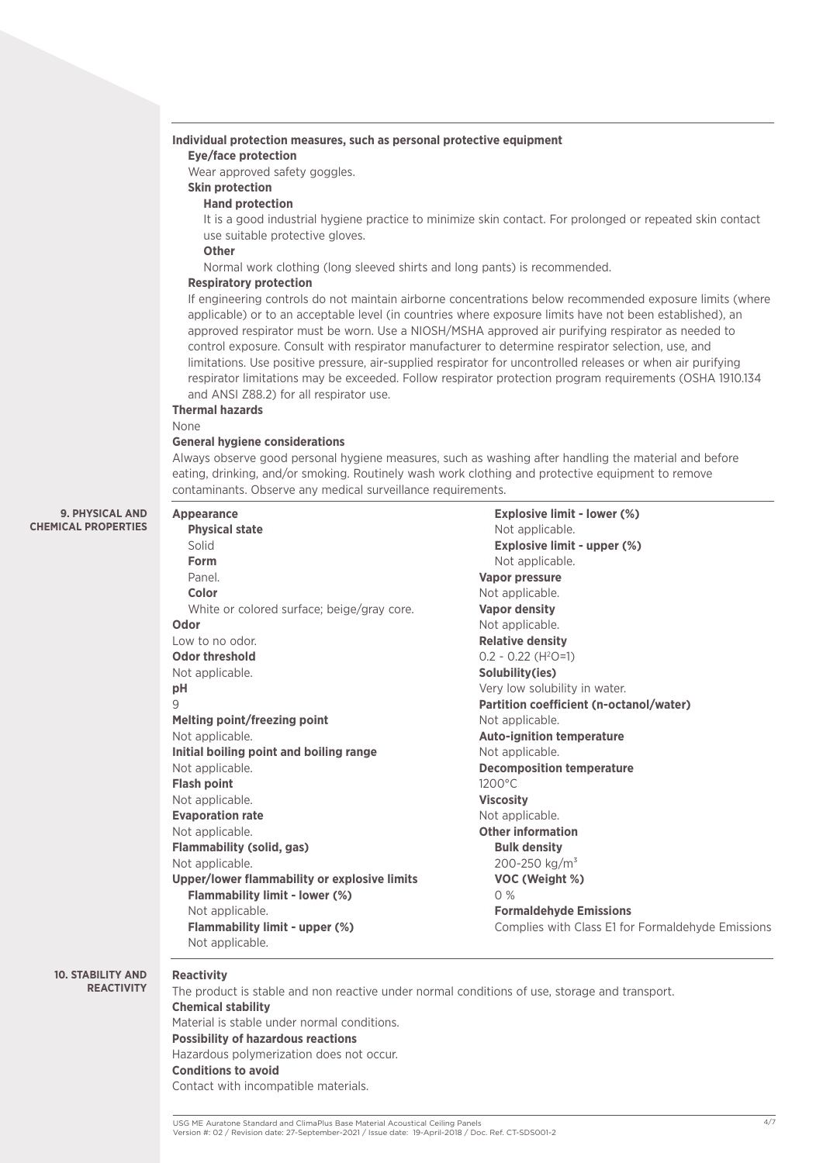### **Individual protection measures, such as personal protective equipment**

### **Eye/face protection**

Wear approved safety goggles.

## **Skin protection**

### **Hand protection**

It is a good industrial hygiene practice to minimize skin contact. For prolonged or repeated skin contact use suitable protective gloves.

### **Other**

Normal work clothing (long sleeved shirts and long pants) is recommended.

#### **Respiratory protection**

If engineering controls do not maintain airborne concentrations below recommended exposure limits (where applicable) or to an acceptable level (in countries where exposure limits have not been established), an approved respirator must be worn. Use a NIOSH/MSHA approved air purifying respirator as needed to control exposure. Consult with respirator manufacturer to determine respirator selection, use, and limitations. Use positive pressure, air-supplied respirator for uncontrolled releases or when air purifying respirator limitations may be exceeded. Follow respirator protection program requirements (OSHA 1910.134 and ANSI Z88.2) for all respirator use.

### **Thermal hazards**

#### None

#### **General hygiene considerations**

Always observe good personal hygiene measures, such as washing after handling the material and before eating, drinking, and/or smoking. Routinely wash work clothing and protective equipment to remove contaminants. Observe any medical surveillance requirements.

#### **9. PHYSICAL AND CHEMICAL PROPERTIES**

| <b>Appearance</b>                            | <b>Explosive limit - lower (%)</b>                |
|----------------------------------------------|---------------------------------------------------|
| <b>Physical state</b>                        | Not applicable.                                   |
| Solid                                        | Explosive limit - upper (%)                       |
| Form                                         | Not applicable.                                   |
| Panel.                                       | <b>Vapor pressure</b>                             |
| Color                                        | Not applicable.                                   |
| White or colored surface; beige/gray core.   | <b>Vapor density</b>                              |
| Odor                                         | Not applicable.                                   |
| Low to no odor.                              | <b>Relative density</b>                           |
| <b>Odor threshold</b>                        | $0.2 - 0.22$ (H <sup>2</sup> O=1)                 |
| Not applicable.                              | Solubility(ies)                                   |
| pH                                           | Very low solubility in water.                     |
| 9                                            | Partition coefficient (n-octanol/water)           |
| Melting point/freezing point                 | Not applicable.                                   |
| Not applicable.                              | <b>Auto-ignition temperature</b>                  |
| Initial boiling point and boiling range      | Not applicable.                                   |
| Not applicable.                              | <b>Decomposition temperature</b>                  |
| <b>Flash point</b>                           | $1200^{\circ}$ C                                  |
| Not applicable.                              | <b>Viscosity</b>                                  |
| <b>Evaporation rate</b>                      | Not applicable.                                   |
| Not applicable.                              | <b>Other information</b>                          |
| <b>Flammability (solid, gas)</b>             | <b>Bulk density</b>                               |
| Not applicable.                              | 200-250 kg/m <sup>3</sup>                         |
| Upper/lower flammability or explosive limits | VOC (Weight %)                                    |
| Flammability limit - lower (%)               | 0%                                                |
| Not applicable.                              | <b>Formaldehyde Emissions</b>                     |
| Flammability limit - upper (%)               | Complies with Class E1 for Formaldehyde Emissions |
| Not applicable.                              |                                                   |

#### **10. STABILITY AND REACTIVITY**

### **Reactivity**

The product is stable and non reactive under normal conditions of use, storage and transport. **Chemical stability**  Material is stable under normal conditions. **Possibility of hazardous reactions** Hazardous polymerization does not occur. **Conditions to avoid**  Contact with incompatible materials.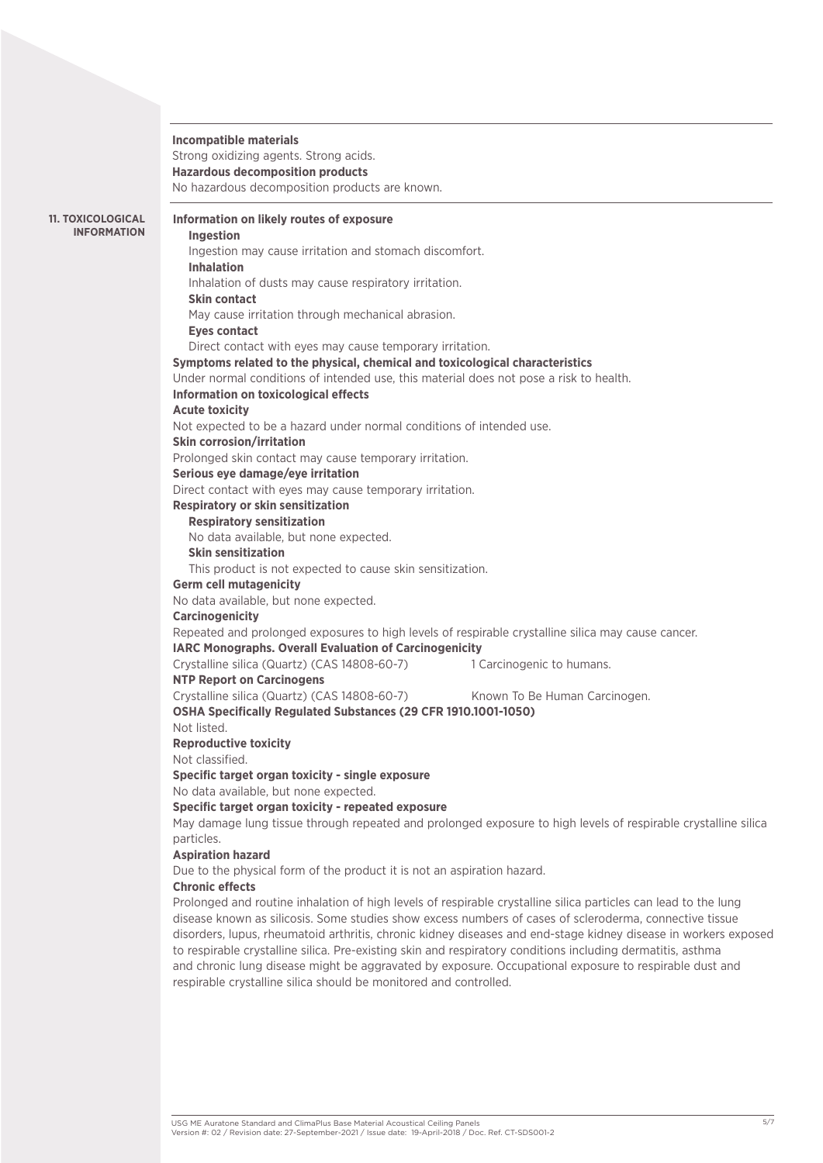### **Incompatible materials**

Strong oxidizing agents. Strong acids. **Hazardous decomposition products** No hazardous decomposition products are known.

**11. TOXICOLOGICAL INFORMATION**

### **Information on likely routes of exposure**

**Ingestion**  Ingestion may cause irritation and stomach discomfort. **Inhalation** Inhalation of dusts may cause respiratory irritation. **Skin contact** May cause irritation through mechanical abrasion. **Eyes contact** Direct contact with eyes may cause temporary irritation. **Symptoms related to the physical, chemical and toxicological characteristics** Under normal conditions of intended use, this material does not pose a risk to health. **Information on toxicological effects Acute toxicity**  Not expected to be a hazard under normal conditions of intended use. **Skin corrosion/irritation**  Prolonged skin contact may cause temporary irritation. **Serious eye damage/eye irritation** Direct contact with eyes may cause temporary irritation. **Respiratory or skin sensitization Respiratory sensitization**  No data available, but none expected. **Skin sensitization**  This product is not expected to cause skin sensitization. **Germ cell mutagenicity**  No data available, but none expected. **Carcinogenicity**  Repeated and prolonged exposures to high levels of respirable crystalline silica may cause cancer. **IARC Monographs. Overall Evaluation of Carcinogenicity**  Crystalline silica (Quartz) (CAS 14808-60-7) 1 Carcinogenic to humans. **NTP Report on Carcinogens**  Crystalline silica (Quartz) (CAS 14808-60-7) Known To Be Human Carcinogen. **OSHA Specifically Regulated Substances (29 CFR 1910.1001-1050)** Not listed. **Reproductive toxicity**  Not classified. **Specific target organ toxicity - single exposure** No data available, but none expected. **Specific target organ toxicity - repeated exposure** May damage lung tissue through repeated and prolonged exposure to high levels of respirable crystalline silica particles. **Aspiration hazard**  Due to the physical form of the product it is not an aspiration hazard. **Chronic effects**

Prolonged and routine inhalation of high levels of respirable crystalline silica particles can lead to the lung disease known as silicosis. Some studies show excess numbers of cases of scleroderma, connective tissue disorders, lupus, rheumatoid arthritis, chronic kidney diseases and end-stage kidney disease in workers exposed to respirable crystalline silica. Pre-existing skin and respiratory conditions including dermatitis, asthma and chronic lung disease might be aggravated by exposure. Occupational exposure to respirable dust and respirable crystalline silica should be monitored and controlled.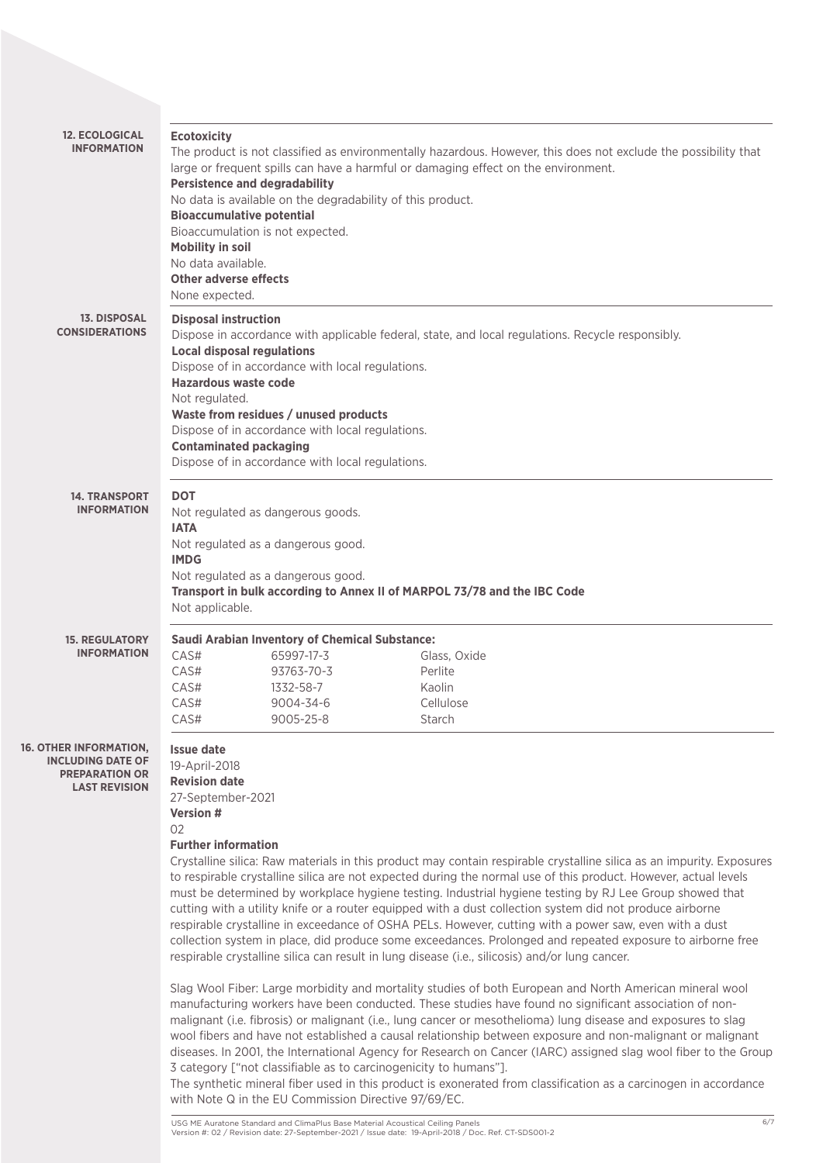| <b>12. ECOLOGICAL</b><br><b>INFORMATION</b>                                                     | <b>Ecotoxicity</b><br><b>Persistence and degradability</b><br><b>Bioaccumulative potential</b><br>Bioaccumulation is not expected.<br><b>Mobility in soil</b><br>No data available.<br><b>Other adverse effects</b><br>None expected. | No data is available on the degradability of this product.                                                                                                                                        | The product is not classified as environmentally hazardous. However, this does not exclude the possibility that<br>large or frequent spills can have a harmful or damaging effect on the environment.                                                                                                                                                                                                                                                                                                                                                                                                                                                                                                                                                                                                                                                                                                                                                                                                                                                                                                                                                                                                                                                                                                                                                                                                                                                                                |
|-------------------------------------------------------------------------------------------------|---------------------------------------------------------------------------------------------------------------------------------------------------------------------------------------------------------------------------------------|---------------------------------------------------------------------------------------------------------------------------------------------------------------------------------------------------|--------------------------------------------------------------------------------------------------------------------------------------------------------------------------------------------------------------------------------------------------------------------------------------------------------------------------------------------------------------------------------------------------------------------------------------------------------------------------------------------------------------------------------------------------------------------------------------------------------------------------------------------------------------------------------------------------------------------------------------------------------------------------------------------------------------------------------------------------------------------------------------------------------------------------------------------------------------------------------------------------------------------------------------------------------------------------------------------------------------------------------------------------------------------------------------------------------------------------------------------------------------------------------------------------------------------------------------------------------------------------------------------------------------------------------------------------------------------------------------|
| <b>13. DISPOSAL</b><br><b>CONSIDERATIONS</b>                                                    | <b>Disposal instruction</b><br><b>Local disposal regulations</b><br>Hazardous waste code<br>Not regulated.<br><b>Contaminated packaging</b>                                                                                           | Dispose of in accordance with local regulations.<br>Waste from residues / unused products<br>Dispose of in accordance with local regulations.<br>Dispose of in accordance with local regulations. | Dispose in accordance with applicable federal, state, and local regulations. Recycle responsibly.                                                                                                                                                                                                                                                                                                                                                                                                                                                                                                                                                                                                                                                                                                                                                                                                                                                                                                                                                                                                                                                                                                                                                                                                                                                                                                                                                                                    |
| <b>14. TRANSPORT</b><br><b>INFORMATION</b>                                                      | <b>DOT</b><br><b>IATA</b><br><b>IMDG</b><br>Not applicable.                                                                                                                                                                           | Not regulated as dangerous goods.<br>Not regulated as a dangerous good.<br>Not regulated as a dangerous good.                                                                                     | Transport in bulk according to Annex II of MARPOL 73/78 and the IBC Code                                                                                                                                                                                                                                                                                                                                                                                                                                                                                                                                                                                                                                                                                                                                                                                                                                                                                                                                                                                                                                                                                                                                                                                                                                                                                                                                                                                                             |
| <b>15. REGULATORY</b><br><b>INFORMATION</b>                                                     | CAS#<br>CAS#<br>CAS#<br>CAS#<br>CAS#                                                                                                                                                                                                  | <b>Saudi Arabian Inventory of Chemical Substance:</b><br>65997-17-3<br>93763-70-3<br>1332-58-7<br>9004-34-6<br>9005-25-8                                                                          | Glass, Oxide<br>Perlite<br>Kaolin<br>Cellulose<br>Starch                                                                                                                                                                                                                                                                                                                                                                                                                                                                                                                                                                                                                                                                                                                                                                                                                                                                                                                                                                                                                                                                                                                                                                                                                                                                                                                                                                                                                             |
| OTHER INFORMATION,<br><b>INCLUDING DATE OF</b><br><b>PREPARATION OR</b><br><b>LAST REVISION</b> | <b>Issue date</b><br>19-April-2018<br><b>Revision date</b><br>27-September-2021<br>Version #<br>02<br><b>Further information</b>                                                                                                      | 3 category ["not classifiable as to carcinogenicity to humans"].<br>with Note Q in the EU Commission Directive 97/69/EC.                                                                          | Crystalline silica: Raw materials in this product may contain respirable crystalline silica as an impurity. Exposures<br>to respirable crystalline silica are not expected during the normal use of this product. However, actual levels<br>must be determined by workplace hygiene testing. Industrial hygiene testing by RJ Lee Group showed that<br>cutting with a utility knife or a router equipped with a dust collection system did not produce airborne<br>respirable crystalline in exceedance of OSHA PELs. However, cutting with a power saw, even with a dust<br>collection system in place, did produce some exceedances. Prolonged and repeated exposure to airborne free<br>respirable crystalline silica can result in lung disease (i.e., silicosis) and/or lung cancer.<br>Slag Wool Fiber: Large morbidity and mortality studies of both European and North American mineral wool<br>manufacturing workers have been conducted. These studies have found no significant association of non-<br>malignant (i.e. fibrosis) or malignant (i.e., lung cancer or mesothelioma) lung disease and exposures to slag<br>wool fibers and have not established a causal relationship between exposure and non-malignant or malignant<br>diseases. In 2001, the International Agency for Research on Cancer (IARC) assigned slag wool fiber to the Group<br>The synthetic mineral fiber used in this product is exonerated from classification as a carcinogen in accordance |

 $16.$